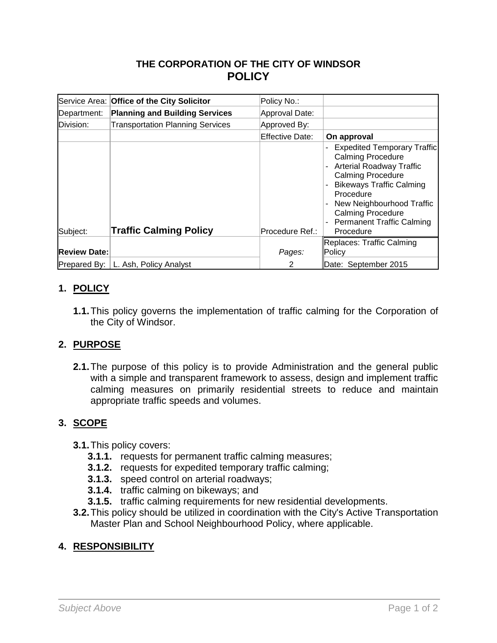# **THE CORPORATION OF THE CITY OF WINDSOR POLICY**

|                     | Service Area: Office of the City Solicitor | Policy No.:     |                                                                                                                                                                                                                                                                                         |
|---------------------|--------------------------------------------|-----------------|-----------------------------------------------------------------------------------------------------------------------------------------------------------------------------------------------------------------------------------------------------------------------------------------|
| Department:         | <b>Planning and Building Services</b>      | Approval Date:  |                                                                                                                                                                                                                                                                                         |
| Division:           | <b>Transportation Planning Services</b>    | Approved By:    |                                                                                                                                                                                                                                                                                         |
|                     |                                            | Effective Date: | On approval                                                                                                                                                                                                                                                                             |
| Subject:            | <b>Traffic Calming Policy</b>              | Procedure Ref.: | <b>Expedited Temporary Traffic</b><br><b>Calming Procedure</b><br><b>Arterial Roadway Traffic</b><br><b>Calming Procedure</b><br><b>Bikeways Traffic Calming</b><br>Procedure<br>New Neighbourhood Traffic<br><b>Calming Procedure</b><br><b>Permanent Traffic Calming</b><br>Procedure |
|                     |                                            |                 | Replaces: Traffic Calming                                                                                                                                                                                                                                                               |
| <b>Review Date:</b> |                                            | Pages:          | Policy                                                                                                                                                                                                                                                                                  |
|                     | Prepared By:   L. Ash, Policy Analyst      | 2               | Date: September 2015                                                                                                                                                                                                                                                                    |

### **1. POLICY**

**1.1.**This policy governs the implementation of traffic calming for the Corporation of the City of Windsor.

### **2. PURPOSE**

**2.1.**The purpose of this policy is to provide Administration and the general public with a simple and transparent framework to assess, design and implement traffic calming measures on primarily residential streets to reduce and maintain appropriate traffic speeds and volumes.

### **3. SCOPE**

- **3.1.**This policy covers:
	- **3.1.1.** requests for permanent traffic calming measures;
	- **3.1.2.** requests for expedited temporary traffic calming;
	- **3.1.3.** speed control on arterial roadways;
	- **3.1.4.** traffic calming on bikeways; and
	- **3.1.5.** traffic calming requirements for new residential developments.
- **3.2.**This policy should be utilized in coordination with the City's Active Transportation Master Plan and School Neighbourhood Policy, where applicable.

### **4. RESPONSIBILITY**